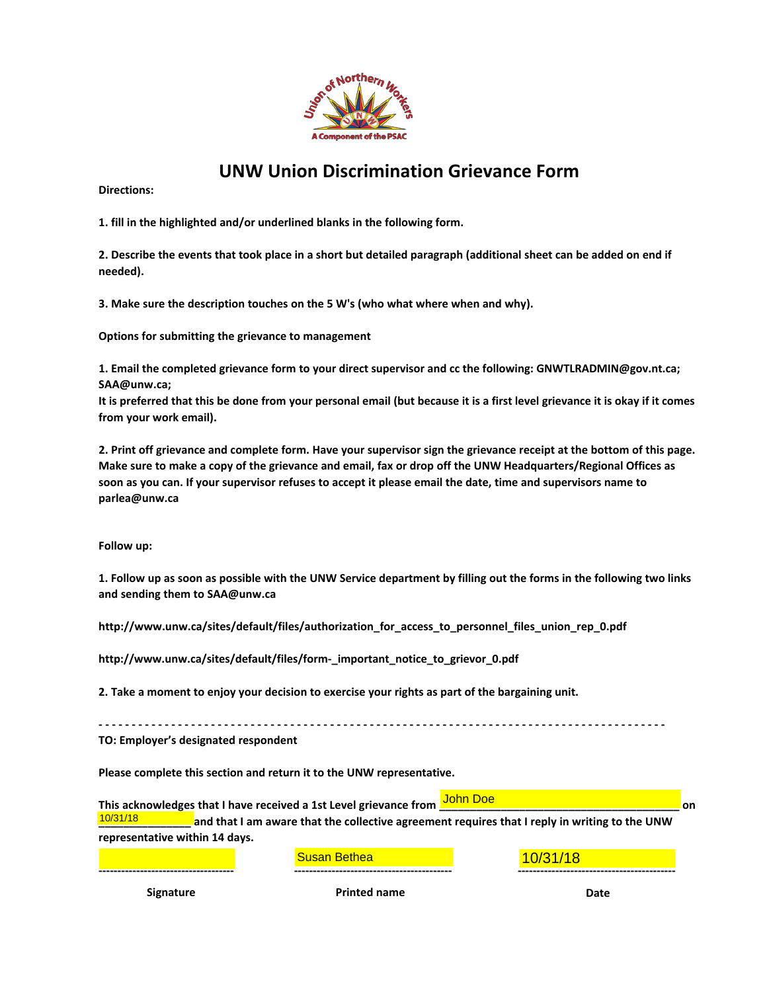

## **UNW Union Discrimination Grievance Form**

**Directions:** 

**1. fill in the highlighted and/or underlined blanks in the following form.**

**2. Describe the events that took place in a short but detailed paragraph (additional sheet can be added on end if needed).**

**3. Make sure the description touches on the 5 W's (who what where when and why).**

**Options for submitting the grievance to management**

**1. Email the completed grievance form to your direct supervisor and cc the following: GNWTLRADMIN@gov.nt.ca; SAA@unw.ca;**

**It is preferred that this be done from your personal email (but because it is a first level grievance it is okay if it comes from your work email).**

**2. Print off grievance and complete form. Have your supervisor sign the grievance receipt at the bottom of this page. Make sure to make a copy of the grievance and email, fax or drop off the UNW Headquarters/Regional Offices as soon as you can. If your supervisor refuses to accept it please email the date, time and supervisors name to parlea@unw.ca**

**Follow up:**

**1. Follow up as soon as possible with the UNW Service department by filling out the forms in the following two links and sending them to SAA@unw.ca**

**http://www.unw.ca/sites/default/files/authorization\_for\_access\_to\_personnel\_files\_union\_rep\_0.pdf** 

**http://www.unw.ca/sites/default/files/form-\_important\_notice\_to\_grievor\_0.pdf**

**2. Take a moment to enjoy your decision to exercise your rights as part of the bargaining unit.**

**- - - - - - - - - - - - - - - - - - - - - - - - - - - - - - - - - - - - - - - - - - - - - - - - - - - - - - - - - - - - - - - - - - - - - - - - - - - - - - - - - - - - - - TO: Employer's designated respondent**

**Please complete this section and return it to the UNW representative.**

**This acknowledges that I have received a 1st Level grievance from \_\_\_\_\_\_\_\_\_\_\_\_\_\_\_\_\_\_\_\_\_\_\_\_\_\_\_\_\_\_\_\_\_\_\_\_\_\_\_ on**  John Doe <u>10/31/18 \_\_\_\_\_\_\_</u> and that I am aware that the collective agreement requires that I reply in writing to the UNW representative within 14 days.<br>Susan Bethea 10/31/18 10/31/18 **representative within 14 days.**

**------------------------------------ ------------------------------------------ ------------------------------------------ Signature Printed name Date**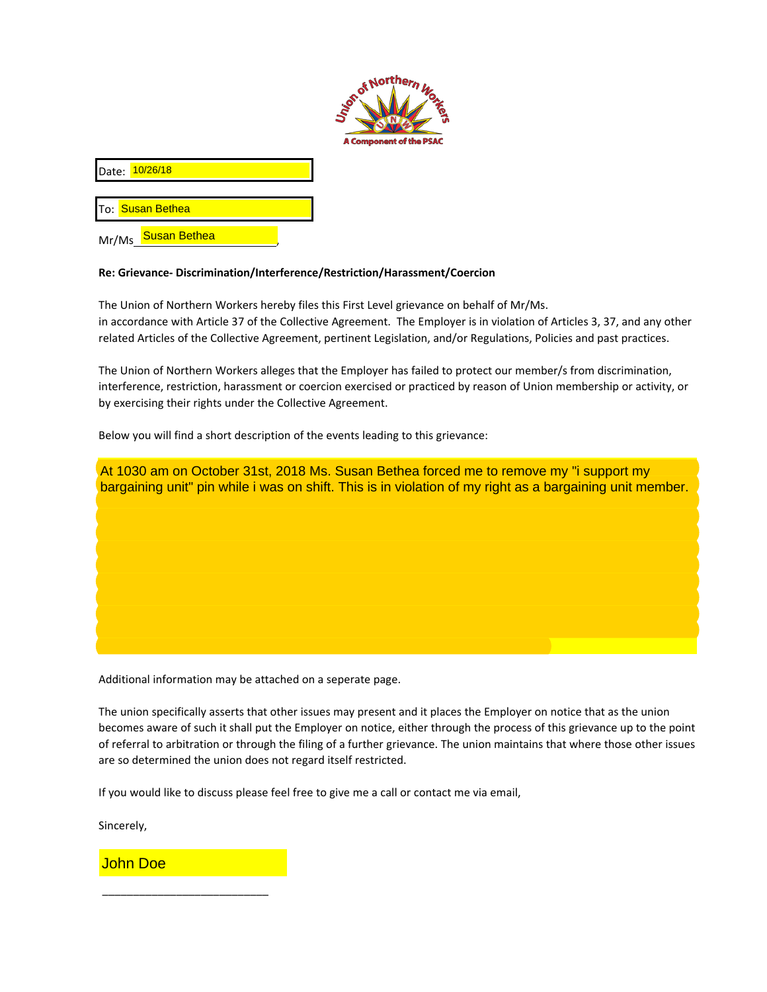

Date: <mark>10/26/18</mark>

To: <mark> Susan Bethea</mark>

Mr/Ms\_<mark>Susan Bethea\_\_\_\_\_\_\_\_\_</mark>

## **Re: Grievance- Discrimination/Interference/Restriction/Harassment/Coercion**

The Union of Northern Workers hereby files this First Level grievance on behalf of Mr/Ms. in accordance with Article 37 of the Collective Agreement. The Employer is in violation of Articles 3, 37, and any other related Articles of the Collective Agreement, pertinent Legislation, and/or Regulations, Policies and past practices.

The Union of Northern Workers alleges that the Employer has failed to protect our member/s from discrimination, interference, restriction, harassment or coercion exercised or practiced by reason of Union membership or activity, or by exercising their rights under the Collective Agreement.

Below you will find a short description of the events leading to this grievance:



Additional information may be attached on a seperate page.

The union specifically asserts that other issues may present and it places the Employer on notice that as the union becomes aware of such it shall put the Employer on notice, either through the process of this grievance up to the point of referral to arbitration or through the filing of a further grievance. The union maintains that where those other issues are so determined the union does not regard itself restricted.

If you would like to discuss please feel free to give me a call or contact me via email,

Sincerely,

John Doe

\_\_\_\_\_\_\_\_\_\_\_\_\_\_\_\_\_\_\_\_\_\_\_\_\_\_\_